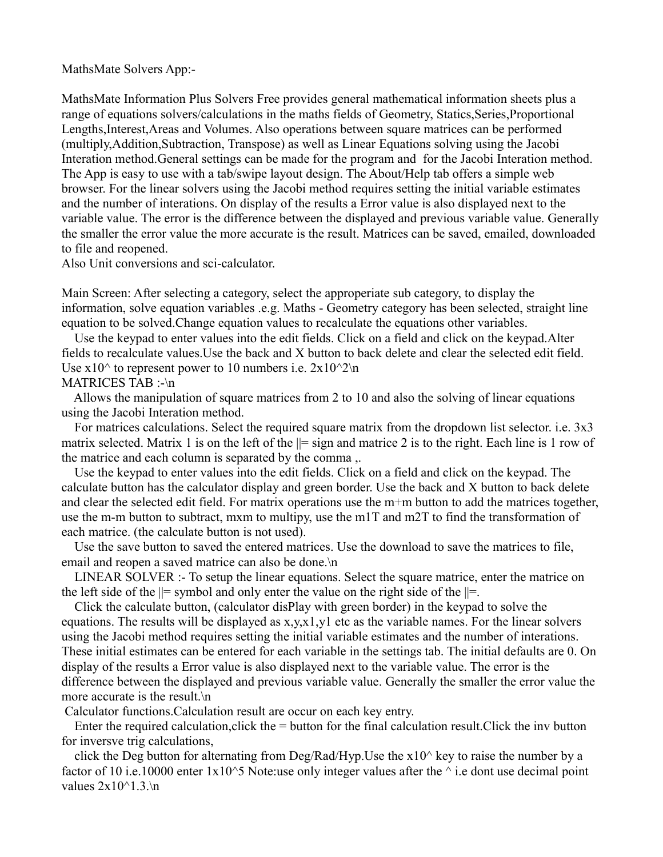MathsMate Solvers App:-

MathsMate Information Plus Solvers Free provides general mathematical information sheets plus a range of equations solvers/calculations in the maths fields of Geometry, Statics,Series,Proportional Lengths,Interest,Areas and Volumes. Also operations between square matrices can be performed (multiply,Addition,Subtraction, Transpose) as well as Linear Equations solving using the Jacobi Interation method.General settings can be made for the program and for the Jacobi Interation method. The App is easy to use with a tab/swipe layout design. The About/Help tab offers a simple web browser. For the linear solvers using the Jacobi method requires setting the initial variable estimates and the number of interations. On display of the results a Error value is also displayed next to the variable value. The error is the difference between the displayed and previous variable value. Generally the smaller the error value the more accurate is the result. Matrices can be saved, emailed, downloaded to file and reopened.

Also Unit conversions and sci-calculator.

Main Screen: After selecting a category, select the approperiate sub category, to display the information, solve equation variables .e.g. Maths - Geometry category has been selected, straight line equation to be solved.Change equation values to recalculate the equations other variables.

 Use the keypad to enter values into the edit fields. Click on a field and click on the keypad.Alter fields to recalculate values.Use the back and X button to back delete and clear the selected edit field. Use  $x10<sup>^</sup>$  to represent power to 10 numbers i.e.  $2x10<sup>^</sup>2\text{ in}$ MATRICES TAB :-\n

 Allows the manipulation of square matrices from 2 to 10 and also the solving of linear equations using the Jacobi Interation method.

 For matrices calculations. Select the required square matrix from the dropdown list selector. i.e. 3x3 matrix selected. Matrix 1 is on the left of the  $\parallel$  = sign and matrice 2 is to the right. Each line is 1 row of the matrice and each column is separated by the comma ,.

 Use the keypad to enter values into the edit fields. Click on a field and click on the keypad. The calculate button has the calculator display and green border. Use the back and X button to back delete and clear the selected edit field. For matrix operations use the m+m button to add the matrices together, use the m-m button to subtract, mxm to multipy, use the m1T and m2T to find the transformation of each matrice. (the calculate button is not used).

 Use the save button to saved the entered matrices. Use the download to save the matrices to file, email and reopen a saved matrice can also be done.\n

 LINEAR SOLVER :- To setup the linear equations. Select the square matrice, enter the matrice on the left side of the  $\parallel$  = symbol and only enter the value on the right side of the  $\parallel$  =.

 Click the calculate button, (calculator disPlay with green border) in the keypad to solve the equations. The results will be displayed as x,y,x1,y1 etc as the variable names. For the linear solvers using the Jacobi method requires setting the initial variable estimates and the number of interations. These initial estimates can be entered for each variable in the settings tab. The initial defaults are 0. On display of the results a Error value is also displayed next to the variable value. The error is the difference between the displayed and previous variable value. Generally the smaller the error value the more accurate is the result.\n

Calculator functions.Calculation result are occur on each key entry.

Enter the required calculation, click the  $=$  button for the final calculation result. Click the inv button for inversve trig calculations,

click the Deg button for alternating from Deg/Rad/Hyp. Use the  $x10<sup>^</sup>$  key to raise the number by a factor of 10 i.e.10000 enter  $1x10^{\circ}5$  Note:use only integer values after the  $^{\circ}$  i.e dont use decimal point values  $2x10^{\text{A}}1.3.$ \n